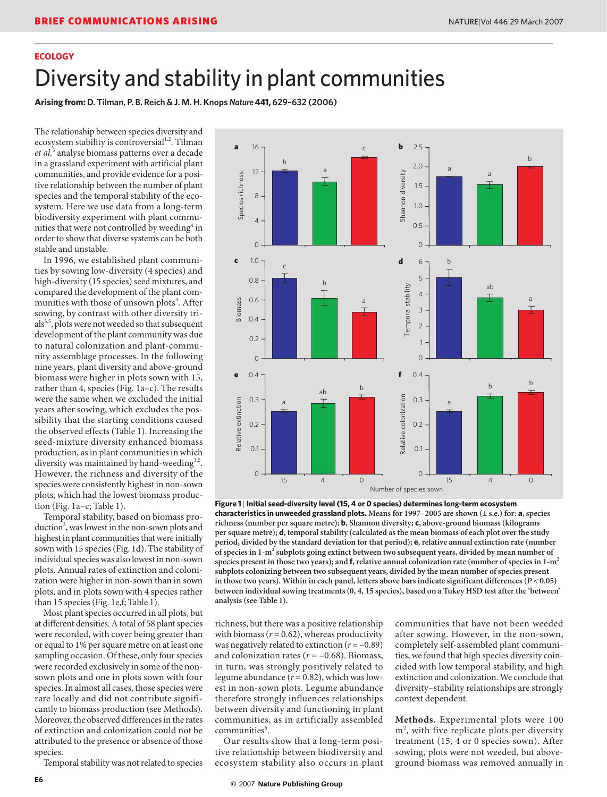# **ECOLOGY**

# Diversity and stability in plant communities

**Arising from: D. Tilman, P. B. Reich & J. M. H. Knops** *Nature***441, 629–632 (2006)**

The relationship between species diversity and ecosystem stability is controversial<sup>1,2</sup>. Tilman *et al.*<sup>3</sup> analyse biomass patterns over a decade in a grassland experiment with artificial plant communities, and provide evidence for a positive relationship between the number of plant species and the temporal stability of the ecosystem. Here we use data from a long-term biodiversity experiment with plant communities that were not controlled by weeding<sup>4</sup> in order to show that diverse systems can be both stable and unstable.

In 1996, we established plant communities by sowing low-diversity (4 species) and high-diversity (15 species) seed mixtures, and compared the development of the plant communities with those of unsown plots<sup>4</sup>. After sowing, by contrast with other diversity tri $als<sup>3,5</sup>$ , plots were not weeded so that subsequent development of the plant community was due to natural colonization and plant-community assemblage processes. In the following nine years, plant diversity and above-ground biomass were higher in plots sown with 15, rather than 4, species (Fig. 1a–c). The results were the same when we excluded the initial years after sowing, which excludes the possibility that the starting conditions caused the observed effects (Table 1). Increasing the seed-mixture diversity enhanced biomass production, as in plant communities in which diversity was maintained by hand-weeding<sup>3,5</sup>. However, the richness and diversity of the species were consistently highest in non-sown plots, which had the lowest biomass production (Fig. 1a–c; Table 1).

Temporal stability, based on biomass production<sup>3</sup>, was lowest in the non-sown plots and highest in plant communities that were initially sown with 15 species (Fig. 1d). The stability of individual species was also lowest in non-sown plots. Annual rates of extinction and colonization were higher in non-sown than in sown plots, and in plots sown with 4 species rather than 15 species (Fig. 1e,f; Table 1).

Most plant species occurred in all plots, but at different densities. A total of 58 plant species were recorded, with cover being greater than or equal to 1% per square metre on at least one sampling occasion. Of these, only four species were recorded exclusively in some of the nonsown plots and one in plots sown with four species. In almost all cases, those species were rare locally and did not contribute significantly to biomass production (see Methods). Moreover, the observed differences in the rates of extinction and colonization could not be attributed to the presence or absence of those species.

Temporal stability was not related to species



**Figure 1** | **Initial seed-diversity level (15, 4 or 0 species) determines long-term ecosystem characteristics in unweeded grassland plots. Means for 1997–2005 are shown (± s.e.) for: a, species richness (number per square metre); b, Shannon diversity; c, above-ground biomass (kilograms per square metre); d, temporal stability (calculated as the mean biomass of each plot over the study period, divided by the standard deviation for that period); e, relative annual extinction rate (number**  of species in 1-m<sup>2</sup> subplots going extinct between two subsequent years, divided by mean number of **species present in those two years); and f, relative annual colonization rate (number of species in 1-m2 subplots colonizing between two subsequent years, divided by the mean number of species present in those two years). Within in each panel, letters above bars indicate significant differences (***P* **< 0.05) between individual sowing treatments (0, 4, 15 species), based on a Tukey HSD test after the 'between' analysis (see Table 1).**

richness, but there was a positive relationship with biomass  $(r = 0.62)$ , whereas productivity was negatively related to extinction  $(r = -0.89)$ and colonization rates  $(r = -0.68)$ . Biomass, in turn, was strongly positively related to legume abundance  $(r = 0.82)$ , which was lowest in non-sown plots. Legume abundance therefore strongly influences relationships between diversity and functioning in plant communities, as in artificially assembled communities<sup>6</sup>.

Our results show that a long-term positive relationship between biodiversity and ecosystem stability also occurs in plant communities that have not been weeded after sowing. However, in the non-sown, completely self-assembled plant communities, we found that high species diversity coincided with low temporal stability, and high extinction and colonization. We conclude that diversity–stability relationships are strongly context dependent.

**Methods.** Experimental plots were 100 m<sup>2</sup>, with five replicate plots per diversity treatment (15, 4 or 0 species sown). After sowing, plots were not weeded, but aboveground biomass was removed annually in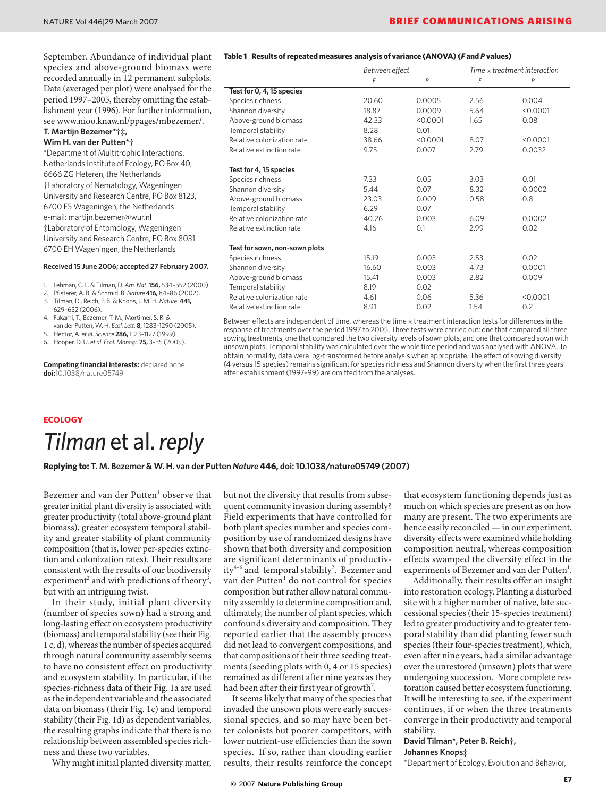September. Abundance of individual plant species and above-ground biomass were recorded annually in 12 permanent subplots. Data (averaged per plot) were analysed for the period 1997–2005, thereby omitting the establishment year (1996). For further information, see www.nioo.knaw.nl/ppages/mbezemer/.

#### **T. Martijn Bezemer\*†‡, Wim H. van der Putten\*†**

\*Department of Multitrophic Interactions, Netherlands Institute of Ecology, PO Box 40, 6666 ZG Heteren, the Netherlands †Laboratory of Nematology, Wageningen University and Research Centre, PO Box 8123, 6700 ES Wageningen, the Netherlands e-mail: martijn.bezemer@wur.nl ‡Laboratory of Entomology, Wageningen University and Research Centre, PO Box 8031 6700 EH Wageningen, the Netherlands

#### **Received 15 June 2006; accepted 27 February 2007.**

- 1. Lehman, C. L. & Tilman, D. *Am. Nat.***156,** 534–552 (2000).
- 2. Pfisterer, A. B. & Schmid, B. *Nature* **416,** 84–86 (2002).
- 3. Tilman, D., Reich, P. B. & Knops, J. M. H. *Nature.* **441,** 629–632 (2006).
- 4. Fukami, T., Bezemer, T. M., Mortimer, S. R. & van der Putten, W. H. *Ecol. Lett.* **8,** 1283–1290 (2005).
- 5. Hector, A. *et al. Science* **286,** 1123–1127 (1999).
- 6. Hooper, D. U. *et al. Ecol. Monogr.* **75,** 3–35 (2005).

**Competing financial interests:** declared none. **doi:**10.1038/nature05749

#### **Table 1** | **Results of repeated measures analysis of variance (ANOVA) (***F* **and** *P* **values)**

|                               | Between effect |                | Time $\times$ treatment interaction |          |
|-------------------------------|----------------|----------------|-------------------------------------|----------|
|                               | F              | $\overline{P}$ | F                                   | P        |
| Test for 0, 4, 15 species     |                |                |                                     |          |
| Species richness              | 20.60          | 0.0005         | 2.56                                | 0.004    |
| Shannon diversity             | 18.87          | 0.0009         | 5.64                                | < 0.0001 |
| Above-ground biomass          | 42.33          | < 0.0001       | 1.65                                | 0.08     |
| Temporal stability            | 8.28           | 0.01           |                                     |          |
| Relative colonization rate    | 38.66          | < 0.0001       | 8.07                                | < 0.0001 |
| Relative extinction rate      | 9.75           | 0.007          | 2.79                                | 0.0032   |
| Test for 4, 15 species        |                |                |                                     |          |
| Species richness              | 7.33           | 0.05           | 3.03                                | 0.01     |
| Shannon diversity             | 5.44           | 0.07           | 8.32                                | 0.0002   |
| Above-ground biomass          | 23.03          | 0.009          | 0.58                                | 0.8      |
| Temporal stability            | 6.29           | 0.07           |                                     |          |
| Relative colonization rate    | 40.26          | 0.003          | 6.09                                | 0.0002   |
| Relative extinction rate      | 4.16           | 0.1            | 2.99                                | 0.02     |
| Test for sown, non-sown plots |                |                |                                     |          |
| Species richness              | 15.19          | 0.003          | 2.53                                | 0.02     |
| Shannon diversity             | 16.60          | 0.003          | 4.73                                | 0.0001   |
| Above-ground biomass          | 15.41          | 0.003          | 2.82                                | 0.009    |
| Temporal stability            | 8.19           | 0.02           |                                     |          |
| Relative colonization rate    | 4.61           | 0.06           | 5.36                                | < 0.0001 |
| Relative extinction rate      | 8.91           | 0.02           | 1.54                                | 0.2      |

Between effects are independent of time, whereas the time x treatment interaction tests for differences in the response of treatments over the period 1997 to 2005. Three tests were carried out: one that compared all three sowing treatments, one that compared the two diversity levels of sown plots, and one that compared sown with unsown plots. Temporal stability was calculated over the whole time period and was analysed with ANOVA. To obtain normality, data were log-transformed before analysis when appropriate. The effect of sowing diversity (4 versus 15 species) remains significant for species richness and Shannon diversity when the first three years after establishment (1997–99) are omitted from the analyses.

# **ECOLOGY** *Tilman* et al. *reply*

### **Replying to: T. M. Bezemer & W. H. van der Putten** *Nature* **446, doi: 10.1038/nature05749 (2007)**

Bezemer and van der Putten<sup>1</sup> observe that greater initial plant diversity is associated with greater productivity (total above-ground plant biomass), greater ecosystem temporal stability and greater stability of plant community composition (that is, lower per-species extinction and colonization rates). Their results are consistent with the results of our biodiversity experiment<sup>2</sup> and with predictions of theory<sup>3</sup>, but with an intriguing twist.

In their study, initial plant diversity (number of species sown) had a strong and long-lasting effect on ecosystem productivity (biomass) and temporal stability (see their Fig. 1 c, d), whereas the number of species acquired through natural community assembly seems to have no consistent effect on productivity and ecosystem stability. In particular, if the species-richness data of their Fig. 1a are used as the independent variable and the associated data on biomass (their Fig. 1c) and temporal stability (their Fig. 1d) as dependent variables, the resulting graphs indicate that there is no relationship between assembled species richness and these two variables.

Why might initial planted diversity matter,

but not the diversity that results from subsequent community invasion during assembly? Field experiments that have controlled for both plant species number and species composition by use of randomized designs have shown that both diversity and composition are significant determinants of productivity<sup>4-6</sup> and temporal stability<sup>2</sup>. Bezemer and van der Putten<sup>1</sup> do not control for species composition but rather allow natural community assembly to determine composition and, ultimately, the number of plant species, which confounds diversity and composition. They reported earlier that the assembly process did not lead to convergent compositions, and that compositions of their three seeding treatments (seeding plots with 0, 4 or 15 species) remained as different after nine years as they had been after their first year of growth<sup>7</sup>.

It seems likely that many of the species that invaded the unsown plots were early successional species, and so may have been better colonists but poorer competitors, with lower nutrient-use efficiencies than the sown species. If so, rather than clouding earlier results, their results reinforce the concept

that ecosystem functioning depends just as much on which species are present as on how many are present. The two experiments are hence easily reconciled — in our experiment, diversity effects were examined while holding composition neutral, whereas composition effects swamped the diversity effect in the experiments of Bezemer and van der Putten<sup>1</sup>.

Additionally, their results offer an insight into restoration ecology. Planting a disturbed site with a higher number of native, late successional species (their 15-species treatment) led to greater productivity and to greater temporal stability than did planting fewer such species (their four-species treatment), which, even after nine years, had a similar advantage over the unrestored (unsown) plots that were undergoing succession. More complete restoration caused better ecosystem functioning. It will be interesting to see, if the experiment continues, if or when the three treatments converge in their productivity and temporal stability.

## **David Tilman\*, Peter B. Reich†, Johannes Knops‡**

\*Department of Ecology, Evolution and Behavior,